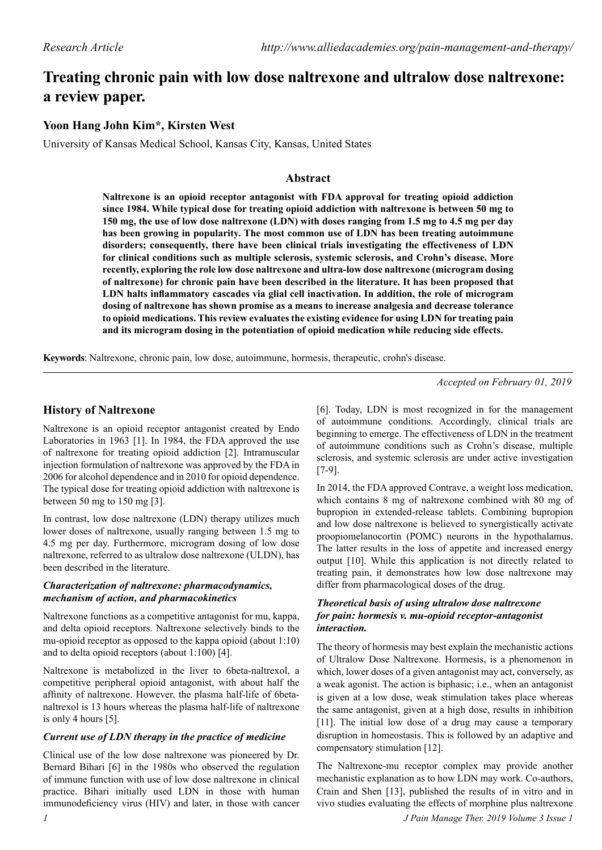# **Treating chronic pain with low dose naltrexone and ultralow dose naltrexone: a review paper.**

## **Yoon Hang John Kim\*, Kirsten West**

University of Kansas Medical School, Kansas City, Kansas, United States

## **Abstract**

**Naltrexone is an opioid receptor antagonist with FDA approval for treating opioid addiction since 1984. While typical dose for treating opioid addiction with naltrexone is between 50 mg to 150 mg, the use of low dose naltrexone (LDN) with doses ranging from 1.5 mg to 4.5 mg per day has been growing in popularity. The most common use of LDN has been treating autoimmune disorders; consequently, there have been clinical trials investigating the effectiveness of LDN for clinical conditions such as multiple sclerosis, systemic sclerosis, and Crohn's disease. More recently, exploring the role low dose naltrexone and ultra-low dose naltrexone (microgram dosing of naltrexone) for chronic pain have been described in the literature. It has been proposed that LDN halts inflammatory cascades via glial cell inactivation. In addition, the role of microgram dosing of naltrexone has shown promise as a means to increase analgesia and decrease tolerance to opioid medications. This review evaluates the existing evidence for using LDN for treating pain and its microgram dosing in the potentiation of opioid medication while reducing side effects.**

**Keywords**: Naltrexone, chronic pain, low dose, autoimmune, hormesis, therapeutic, crohn's disease.

*Accepted on February 01, 2019*

## **History of Naltrexone**

Naltrexone is an opioid receptor antagonist created by Endo Laboratories in 1963 [1]. In 1984, the FDA approved the use of naltrexone for treating opioid addiction [2]. Intramuscular injection formulation of naltrexone was approved by the FDA in 2006 for alcohol dependence and in 2010 for opioid dependence. The typical dose for treating opioid addiction with naltrexone is between 50 mg to 150 mg [3].

In contrast, low dose naltrexone (LDN) therapy utilizes much lower doses of naltrexone, usually ranging between 1.5 mg to 4.5 mg per day. Furthermore, microgram dosing of low dose naltrexone, referred to as ultralow dose naltrexone (ULDN), has been described in the literature.

## *Characterization of naltrexone: pharmacodynamics, mechanism of action, and pharmacokinetics*

Naltrexone functions as a competitive antagonist for mu, kappa, and delta opioid receptors. Naltrexone selectively binds to the mu-opioid receptor as opposed to the kappa opioid (about 1:10) and to delta opioid receptors (about 1:100) [4].

Naltrexone is metabolized in the liver to 6beta-naltrexol, a competitive peripheral opioid antagonist, with about half the affinity of naltrexone. However, the plasma half-life of 6betanaltrexol is 13 hours whereas the plasma half-life of naltrexone is only 4 hours [5].

## *Current use of LDN therapy in the practice of medicine*

Clinical use of the low dose naltrexone was pioneered by Dr. Bernard Bihari [6] in the 1980s who observed the regulation of immune function with use of low dose naltrexone in clinical practice. Bihari initially used LDN in those with human immunodeficiency virus (HIV) and later, in those with cancer [6]. Today, LDN is most recognized in for the management of autoimmune conditions. Accordingly, clinical trials are beginning to emerge. The effectiveness of LDN in the treatment of autoimmune conditions such as Crohn's disease, multiple sclerosis, and systemic sclerosis are under active investigation [7-9].

In 2014, the FDA approved Contrave, a weight loss medication, which contains 8 mg of naltrexone combined with 80 mg of bupropion in extended-release tablets. Combining bupropion and low dose naltrexone is believed to synergistically activate proopiomelanocortin (POMC) neurons in the hypothalamus. The latter results in the loss of appetite and increased energy output [10]. While this application is not directly related to treating pain, it demonstrates how low dose naltrexone may differ from pharmacological doses of the drug.

## *Theoretical basis of using ultralow dose naltrexone for pain: hormesis v. mu-opioid receptor-antagonist interaction.*

The theory of hormesis may best explain the mechanistic actions of Ultralow Dose Naltrexone. Hormesis, is a phenomenon in which, lower doses of a given antagonist may act, conversely, as a weak agonist. The action is biphasic; i.e., when an antagonist is given at a low dose, weak stimulation takes place whereas the same antagonist, given at a high dose, results in inhibition [11]. The initial low dose of a drug may cause a temporary disruption in homeostasis. This is followed by an adaptive and compensatory stimulation [12].

The Naltrexone-mu receptor complex may provide another mechanistic explanation as to how LDN may work. Co-authors, Crain and Shen [13], published the results of in vitro and in vivo studies evaluating the effects of morphine plus naltrexone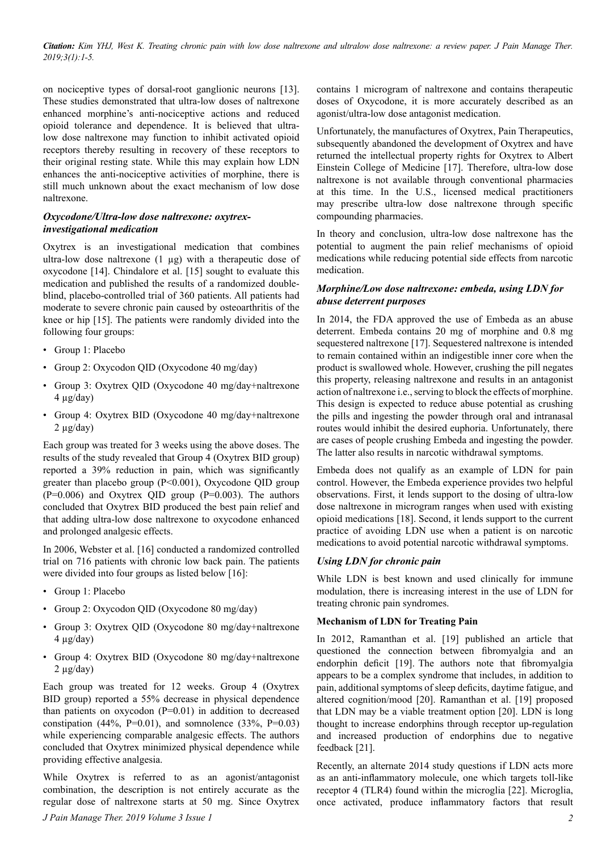*Citation: Kim YHJ, West K. Treating chronic pain with low dose naltrexone and ultralow dose naltrexone: a review paper. J Pain Manage Ther. 2019;3(1):1-5.*

on nociceptive types of dorsal-root ganglionic neurons [13]. These studies demonstrated that ultra-low doses of naltrexone enhanced morphine's anti-nociceptive actions and reduced opioid tolerance and dependence. It is believed that ultralow dose naltrexone may function to inhibit activated opioid receptors thereby resulting in recovery of these receptors to their original resting state. While this may explain how LDN enhances the anti-nociceptive activities of morphine, there is still much unknown about the exact mechanism of low dose naltrexone.

## *Oxycodone/Ultra-low dose naltrexone: oxytrexinvestigational medication*

Oxytrex is an investigational medication that combines ultra-low dose naltrexone (1 µg) with a therapeutic dose of oxycodone [14]. Chindalore et al. [15] sought to evaluate this medication and published the results of a randomized doubleblind, placebo-controlled trial of 360 patients. All patients had moderate to severe chronic pain caused by osteoarthritis of the knee or hip [15]. The patients were randomly divided into the following four groups:

- Group 1: Placebo
- Group 2: Oxycodon QID (Oxycodone 40 mg/day)
- Group 3: Oxytrex QID (Oxycodone 40 mg/day+naltrexone  $4 \mu g/day)$
- Group 4: Oxytrex BID (Oxycodone 40 mg/day+naltrexone  $2 \mu$ g/day)

Each group was treated for 3 weeks using the above doses. The results of the study revealed that Group 4 (Oxytrex BID group) reported a 39% reduction in pain, which was significantly greater than placebo group (P<0.001), Oxycodone QID group  $(P=0.006)$  and Oxytrex QID group  $(P=0.003)$ . The authors concluded that Oxytrex BID produced the best pain relief and that adding ultra-low dose naltrexone to oxycodone enhanced and prolonged analgesic effects.

In 2006, Webster et al. [16] conducted a randomized controlled trial on 716 patients with chronic low back pain. The patients were divided into four groups as listed below [16]:

- Group 1: Placebo
- Group 2: Oxycodon QID (Oxycodone 80 mg/day)
- Group 3: Oxytrex QID (Oxycodone 80 mg/day+naltrexone  $4 \mu g/day)$
- Group 4: Oxytrex BID (Oxycodone 80 mg/day+naltrexone  $2 \mu$ g/day)

Each group was treated for 12 weeks. Group 4 (Oxytrex BID group) reported a 55% decrease in physical dependence than patients on oxycodon  $(P=0.01)$  in addition to decreased constipation (44%, P=0.01), and somnolence (33%, P=0.03) while experiencing comparable analgesic effects. The authors concluded that Oxytrex minimized physical dependence while providing effective analgesia.

While Oxytrex is referred to as an agonist/antagonist combination, the description is not entirely accurate as the regular dose of naltrexone starts at 50 mg. Since Oxytrex contains 1 microgram of naltrexone and contains therapeutic doses of Oxycodone, it is more accurately described as an agonist/ultra-low dose antagonist medication.

Unfortunately, the manufactures of Oxytrex, Pain Therapeutics, subsequently abandoned the development of Oxytrex and have returned the intellectual property rights for Oxytrex to Albert Einstein College of Medicine [17]. Therefore, ultra-low dose naltrexone is not available through conventional pharmacies at this time. In the U.S., licensed medical practitioners may prescribe ultra-low dose naltrexone through specific compounding pharmacies.

In theory and conclusion, ultra-low dose naltrexone has the potential to augment the pain relief mechanisms of opioid medications while reducing potential side effects from narcotic medication.

## *Morphine/Low dose naltrexone: embeda, using LDN for abuse deterrent purposes*

In 2014, the FDA approved the use of Embeda as an abuse deterrent. Embeda contains 20 mg of morphine and 0.8 mg sequestered naltrexone [17]. Sequestered naltrexone is intended to remain contained within an indigestible inner core when the product is swallowed whole. However, crushing the pill negates this property, releasing naltrexone and results in an antagonist action of naltrexone i.e., serving to block the effects of morphine. This design is expected to reduce abuse potential as crushing the pills and ingesting the powder through oral and intranasal routes would inhibit the desired euphoria. Unfortunately, there are cases of people crushing Embeda and ingesting the powder. The latter also results in narcotic withdrawal symptoms.

Embeda does not qualify as an example of LDN for pain control. However, the Embeda experience provides two helpful observations. First, it lends support to the dosing of ultra-low dose naltrexone in microgram ranges when used with existing opioid medications [18]. Second, it lends support to the current practice of avoiding LDN use when a patient is on narcotic medications to avoid potential narcotic withdrawal symptoms.

## *Using LDN for chronic pain*

While LDN is best known and used clinically for immune modulation, there is increasing interest in the use of LDN for treating chronic pain syndromes.

### **Mechanism of LDN for Treating Pain**

In 2012, Ramanthan et al. [19] published an article that questioned the connection between fibromyalgia and an endorphin deficit [19]. The authors note that fibromyalgia appears to be a complex syndrome that includes, in addition to pain, additional symptoms of sleep deficits, daytime fatigue, and altered cognition/mood [20]. Ramanthan et al. [19] proposed that LDN may be a viable treatment option [20]. LDN is long thought to increase endorphins through receptor up-regulation and increased production of endorphins due to negative feedback [21].

Recently, an alternate 2014 study questions if LDN acts more as an anti-inflammatory molecule, one which targets toll-like receptor 4 (TLR4) found within the microglia [22]. Microglia, once activated, produce inflammatory factors that result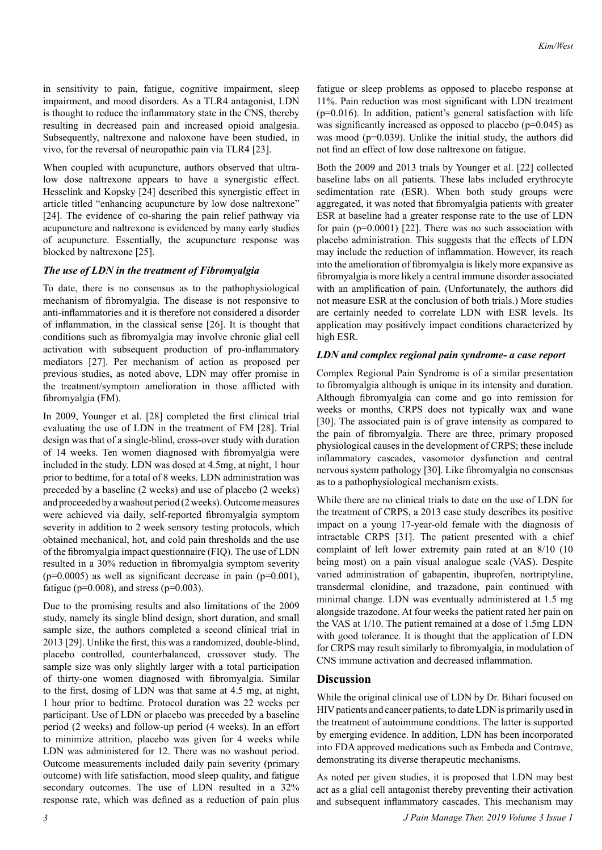in sensitivity to pain, fatigue, cognitive impairment, sleep impairment, and mood disorders. As a TLR4 antagonist, LDN is thought to reduce the inflammatory state in the CNS, thereby resulting in decreased pain and increased opioid analgesia. Subsequently, naltrexone and naloxone have been studied, in vivo, for the reversal of neuropathic pain via TLR4 [23].

When coupled with acupuncture, authors observed that ultralow dose naltrexone appears to have a synergistic effect. Hesselink and Kopsky [24] described this synergistic effect in article titled "enhancing acupuncture by low dose naltrexone" [24]. The evidence of co-sharing the pain relief pathway via acupuncture and naltrexone is evidenced by many early studies of acupuncture. Essentially, the acupuncture response was blocked by naltrexone [25].

#### *The use of LDN in the treatment of Fibromyalgia*

To date, there is no consensus as to the pathophysiological mechanism of fibromyalgia. The disease is not responsive to anti-inflammatories and it is therefore not considered a disorder of inflammation, in the classical sense [26]. It is thought that conditions such as fibromyalgia may involve chronic glial cell activation with subsequent production of pro-inflammatory mediators [27]. Per mechanism of action as proposed per previous studies, as noted above, LDN may offer promise in the treatment/symptom amelioration in those afflicted with fibromyalgia (FM).

In 2009, Younger et al. [28] completed the first clinical trial evaluating the use of LDN in the treatment of FM [28]. Trial design was that of a single-blind, cross-over study with duration of 14 weeks. Ten women diagnosed with fibromyalgia were included in the study. LDN was dosed at 4.5mg, at night, 1 hour prior to bedtime, for a total of 8 weeks. LDN administration was preceded by a baseline (2 weeks) and use of placebo (2 weeks) and proceeded by a washout period (2 weeks). Outcome measures were achieved via daily, self-reported fibromyalgia symptom severity in addition to 2 week sensory testing protocols, which obtained mechanical, hot, and cold pain thresholds and the use of the fibromyalgia impact questionnaire (FIQ). The use of LDN resulted in a 30% reduction in fibromyalgia symptom severity  $(p=0.0005)$  as well as significant decrease in pain  $(p=0.001)$ , fatigue ( $p=0.008$ ), and stress ( $p=0.003$ ).

Due to the promising results and also limitations of the 2009 study, namely its single blind design, short duration, and small sample size, the authors completed a second clinical trial in 2013 [29]. Unlike the first, this was a randomized, double-blind, placebo controlled, counterbalanced, crossover study. The sample size was only slightly larger with a total participation of thirty-one women diagnosed with fibromyalgia. Similar to the first, dosing of LDN was that same at 4.5 mg, at night, 1 hour prior to bedtime. Protocol duration was 22 weeks per participant. Use of LDN or placebo was preceded by a baseline period (2 weeks) and follow-up period (4 weeks). In an effort to minimize attrition, placebo was given for 4 weeks while LDN was administered for 12. There was no washout period. Outcome measurements included daily pain severity (primary outcome) with life satisfaction, mood sleep quality, and fatigue secondary outcomes. The use of LDN resulted in a 32% response rate, which was defined as a reduction of pain plus

fatigue or sleep problems as opposed to placebo response at 11%. Pain reduction was most significant with LDN treatment  $(p=0.016)$ . In addition, patient's general satisfaction with life was significantly increased as opposed to placebo ( $p=0.045$ ) as was mood (p=0.039). Unlike the initial study, the authors did not find an effect of low dose naltrexone on fatigue.

Both the 2009 and 2013 trials by Younger et al. [22] collected baseline labs on all patients. These labs included erythrocyte sedimentation rate (ESR). When both study groups were aggregated, it was noted that fibromyalgia patients with greater ESR at baseline had a greater response rate to the use of LDN for pain (p=0.0001) [22]. There was no such association with placebo administration. This suggests that the effects of LDN may include the reduction of inflammation. However, its reach into the amelioration of fibromyalgia is likely more expansive as fibromyalgia is more likely a central immune disorder associated with an amplification of pain. (Unfortunately, the authors did not measure ESR at the conclusion of both trials.) More studies are certainly needed to correlate LDN with ESR levels. Its application may positively impact conditions characterized by high ESR.

#### *LDN and complex regional pain syndrome- a case report*

Complex Regional Pain Syndrome is of a similar presentation to fibromyalgia although is unique in its intensity and duration. Although fibromyalgia can come and go into remission for weeks or months, CRPS does not typically wax and wane [30]. The associated pain is of grave intensity as compared to the pain of fibromyalgia. There are three, primary proposed physiological causes in the development of CRPS; these include inflammatory cascades, vasomotor dysfunction and central nervous system pathology [30]. Like fibromyalgia no consensus as to a pathophysiological mechanism exists.

While there are no clinical trials to date on the use of LDN for the treatment of CRPS, a 2013 case study describes its positive impact on a young 17-year-old female with the diagnosis of intractable CRPS [31]. The patient presented with a chief complaint of left lower extremity pain rated at an 8/10 (10 being most) on a pain visual analogue scale (VAS). Despite varied administration of gabapentin, ibuprofen, nortriptyline, transdermal clonidine, and trazadone, pain continued with minimal change. LDN was eventually administered at 1.5 mg alongside trazodone. At four weeks the patient rated her pain on the VAS at 1/10. The patient remained at a dose of 1.5mg LDN with good tolerance. It is thought that the application of LDN for CRPS may result similarly to fibromyalgia, in modulation of CNS immune activation and decreased inflammation.

#### **Discussion**

While the original clinical use of LDN by Dr. Bihari focused on HIV patients and cancer patients, to date LDN is primarily used in the treatment of autoimmune conditions. The latter is supported by emerging evidence. In addition, LDN has been incorporated into FDA approved medications such as Embeda and Contrave, demonstrating its diverse therapeutic mechanisms.

As noted per given studies, it is proposed that LDN may best act as a glial cell antagonist thereby preventing their activation and subsequent inflammatory cascades. This mechanism may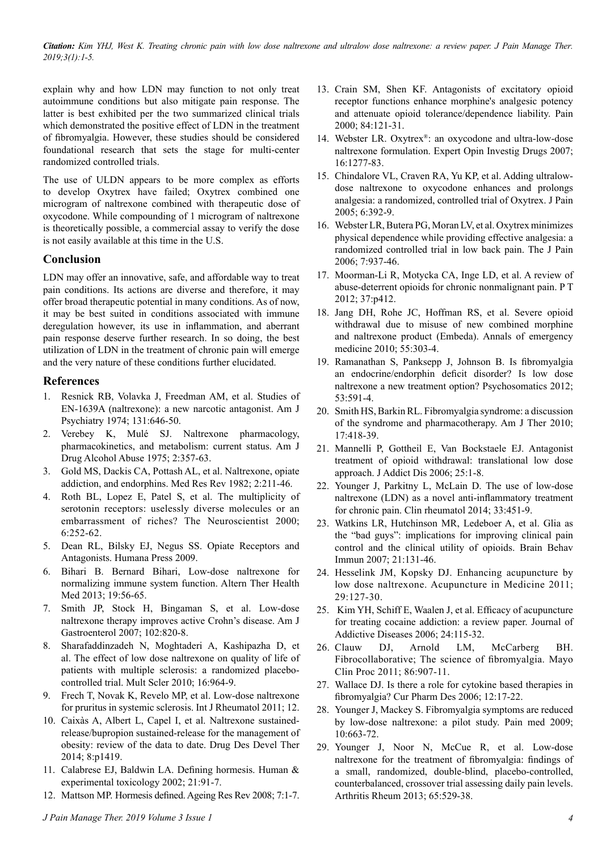*Citation: Kim YHJ, West K. Treating chronic pain with low dose naltrexone and ultralow dose naltrexone: a review paper. J Pain Manage Ther. 2019;3(1):1-5.*

explain why and how LDN may function to not only treat autoimmune conditions but also mitigate pain response. The latter is best exhibited per the two summarized clinical trials which demonstrated the positive effect of LDN in the treatment of fibromyalgia. However, these studies should be considered foundational research that sets the stage for multi-center randomized controlled trials.

The use of ULDN appears to be more complex as efforts to develop Oxytrex have failed; Oxytrex combined one microgram of naltrexone combined with therapeutic dose of oxycodone. While compounding of 1 microgram of naltrexone is theoretically possible, a commercial assay to verify the dose is not easily available at this time in the U.S.

## **Conclusion**

LDN may offer an innovative, safe, and affordable way to treat pain conditions. Its actions are diverse and therefore, it may offer broad therapeutic potential in many conditions. As of now, it may be best suited in conditions associated with immune deregulation however, its use in inflammation, and aberrant pain response deserve further research. In so doing, the best utilization of LDN in the treatment of chronic pain will emerge and the very nature of these conditions further elucidated.

### **References**

- 1. Resnick RB, Volavka J, Freedman AM, et al. Studies of EN-1639A (naltrexone): a new narcotic antagonist. Am J Psychiatry 1974; 131:646-50.
- 2. Verebey K, Mulé SJ. Naltrexone pharmacology, pharmacokinetics, and metabolism: current status. Am J Drug Alcohol Abuse 1975; 2:357-63.
- 3. Gold MS, Dackis CA, Pottash AL, et al. Naltrexone, opiate addiction, and endorphins. Med Res Rev 1982; 2:211-46.
- 4. Roth BL, Lopez E, Patel S, et al. The multiplicity of serotonin receptors: uselessly diverse molecules or an embarrassment of riches? The Neuroscientist 2000; 6:252-62.
- 5. Dean RL, Bilsky EJ, Negus SS. Opiate Receptors and Antagonists. Humana Press 2009.
- 6. Bihari B. Bernard Bihari, Low-dose naltrexone for normalizing immune system function. Altern Ther Health Med 2013; 19:56-65.
- 7. Smith JP, Stock H, Bingaman S, et al. Low-dose naltrexone therapy improves active Crohn's disease. Am J Gastroenterol 2007; 102:820-8.
- 8. Sharafaddinzadeh N, Moghtaderi A, Kashipazha D, et al. The effect of low dose naltrexone on quality of life of patients with multiple sclerosis: a randomized placebocontrolled trial. Mult Scler 2010; 16:964-9.
- 9. Frech T, Novak K, Revelo MP, et al. Low-dose naltrexone for pruritus in systemic sclerosis. Int J Rheumatol 2011; 12.
- 10. Caixàs A, Albert L, Capel I, et al. Naltrexone sustainedrelease/bupropion sustained-release for the management of obesity: review of the data to date. Drug Des Devel Ther 2014; 8:p1419.
- 11. Calabrese EJ, Baldwin LA. Defining hormesis. Human & experimental toxicology 2002; 21:91-7.
- 12. Mattson MP. Hormesis defined. Ageing Res Rev 2008; 7:1-7.
- 13. Crain SM, Shen KF. Antagonists of excitatory opioid receptor functions enhance morphine's analgesic potency and attenuate opioid tolerance/dependence liability. Pain 2000; 84:121-31.
- 14. Webster LR. Oxytrex®: an oxycodone and ultra-low-dose naltrexone formulation. Expert Opin Investig Drugs 2007; 16:1277-83.
- 15. Chindalore VL, Craven RA, Yu KP, et al. Adding ultralowdose naltrexone to oxycodone enhances and prolongs analgesia: a randomized, controlled trial of Oxytrex. J Pain 2005; 6:392-9.
- 16. Webster LR, Butera PG, Moran LV, et al. Oxytrex minimizes physical dependence while providing effective analgesia: a randomized controlled trial in low back pain. The J Pain  $2006:7.937-46$
- 17. Moorman-Li R, Motycka CA, Inge LD, et al. A review of abuse-deterrent opioids for chronic nonmalignant pain. P T 2012; 37:p412.
- 18. Jang DH, Rohe JC, Hoffman RS, et al. Severe opioid withdrawal due to misuse of new combined morphine and naltrexone product (Embeda). Annals of emergency medicine 2010; 55:303-4.
- 19. Ramanathan S, Panksepp J, Johnson B. Is fibromyalgia an endocrine/endorphin deficit disorder? Is low dose naltrexone a new treatment option? Psychosomatics 2012; 53:591-4.
- 20. Smith HS, Barkin RL. Fibromyalgia syndrome: a discussion of the syndrome and pharmacotherapy. Am J Ther 2010; 17:418-39.
- 21. Mannelli P, Gottheil E, Van Bockstaele EJ. Antagonist treatment of opioid withdrawal: translational low dose approach. J Addict Dis 2006; 25:1-8.
- 22. Younger J, Parkitny L, McLain D. The use of low-dose naltrexone (LDN) as a novel anti-inflammatory treatment for chronic pain. Clin rheumatol 2014; 33:451-9.
- 23. Watkins LR, Hutchinson MR, Ledeboer A, et al. Glia as the "bad guys": implications for improving clinical pain control and the clinical utility of opioids. Brain Behav Immun 2007; 21:131-46.
- 24. Hesselink JM, Kopsky DJ. Enhancing acupuncture by low dose naltrexone. Acupuncture in Medicine 2011; 29:127-30.
- 25. Kim YH, Schiff E, Waalen J, et al. Efficacy of acupuncture for treating cocaine addiction: a review paper. Journal of Addictive Diseases 2006; 24:115-32.
- 26. Clauw DJ, Arnold LM, McCarberg BH. Fibrocollaborative; The science of fibromyalgia. Mayo Clin Proc 2011; 86:907-11.
- 27. Wallace DJ. Is there a role for cytokine based therapies in fibromyalgia? Cur Pharm Des 2006; 12:17-22.
- 28. Younger J, Mackey S. Fibromyalgia symptoms are reduced by low-dose naltrexone: a pilot study. Pain med 2009; 10:663-72.
- 29. Younger J, Noor N, McCue R, et al. Low-dose naltrexone for the treatment of fibromyalgia: findings of a small, randomized, double-blind, placebo-controlled, counterbalanced, crossover trial assessing daily pain levels. Arthritis Rheum 2013; 65:529-38.